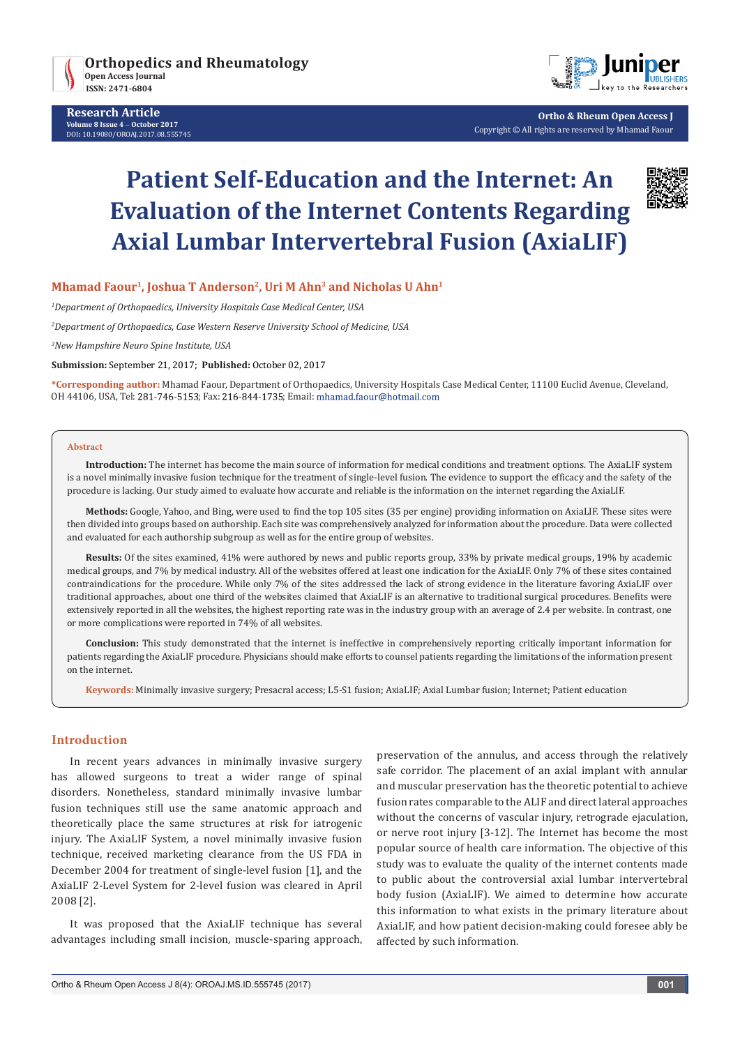



**Ortho & Rheum Open Access J** Copyright © All rights are reserved by Mhamad Faour

# **Patient Self-Education and the Internet: An Evaluation of the Internet Contents Regarding Axial Lumbar Intervertebral Fusion (AxiaLIF)**



# **Mhamad Faour1, Joshua T Anderson2, Uri M Ahn3 and Nicholas U Ahn1**

*1 Department of Orthopaedics, University Hospitals Case Medical Center, USA*

*2 Department of Orthopaedics, Case Western Reserve University School of Medicine, USA*

*3 New Hampshire Neuro Spine Institute, USA*

**Submission:** September 21, 2017; **Published:** October 02, 2017

**\*Corresponding author:** Mhamad Faour, Department of Orthopaedics, University Hospitals Case Medical Center, 11100 Euclid Avenue, Cleveland, OH 44106, USA, Tel: 281-746-5153; Fax: 216-844-1735; Email: mhamad.faour@hotmail.com

#### **Abstract**

**Introduction:** The internet has become the main source of information for medical conditions and treatment options. The AxiaLIF system is a novel minimally invasive fusion technique for the treatment of single-level fusion. The evidence to support the efficacy and the safety of the procedure is lacking. Our study aimed to evaluate how accurate and reliable is the information on the internet regarding the AxiaLIF.

**Methods:** Google, Yahoo, and Bing, were used to find the top 105 sites (35 per engine) providing information on AxiaLIF. These sites were then divided into groups based on authorship. Each site was comprehensively analyzed for information about the procedure. Data were collected and evaluated for each authorship subgroup as well as for the entire group of websites.

**Results:** Of the sites examined, 41% were authored by news and public reports group, 33% by private medical groups, 19% by academic medical groups, and 7% by medical industry. All of the websites offered at least one indication for the AxiaLIF. Only 7% of these sites contained contraindications for the procedure. While only 7% of the sites addressed the lack of strong evidence in the literature favoring AxiaLIF over traditional approaches, about one third of the websites claimed that AxiaLIF is an alternative to traditional surgical procedures. Benefits were extensively reported in all the websites, the highest reporting rate was in the industry group with an average of 2.4 per website. In contrast, one or more complications were reported in 74% of all websites.

**Conclusion:** This study demonstrated that the internet is ineffective in comprehensively reporting critically important information for patients regarding the AxiaLIF procedure. Physicians should make efforts to counsel patients regarding the limitations of the information present on the internet.

**Keywords:** Minimally invasive surgery; Presacral access; L5-S1 fusion; AxiaLIF; Axial Lumbar fusion; Internet; Patient education

# **Introduction**

In recent years advances in minimally invasive surgery has allowed surgeons to treat a wider range of spinal disorders. Nonetheless, standard minimally invasive lumbar fusion techniques still use the same anatomic approach and theoretically place the same structures at risk for iatrogenic injury. The AxiaLIF System, a novel minimally invasive fusion technique, received marketing clearance from the US FDA in December 2004 for treatment of single-level fusion [1], and the AxiaLIF 2-Level System for 2-level fusion was cleared in April 2008 [2].

It was proposed that the AxiaLIF technique has several advantages including small incision, muscle-sparing approach, preservation of the annulus, and access through the relatively safe corridor. The placement of an axial implant with annular and muscular preservation has the theoretic potential to achieve fusion rates comparable to the ALIF and direct lateral approaches without the concerns of vascular injury, retrograde ejaculation, or nerve root injury [3-12]. The Internet has become the most popular source of health care information. The objective of this study was to evaluate the quality of the internet contents made to public about the controversial axial lumbar intervertebral body fusion (AxiaLIF). We aimed to determine how accurate this information to what exists in the primary literature about AxiaLIF, and how patient decision-making could foresee ably be affected by such information.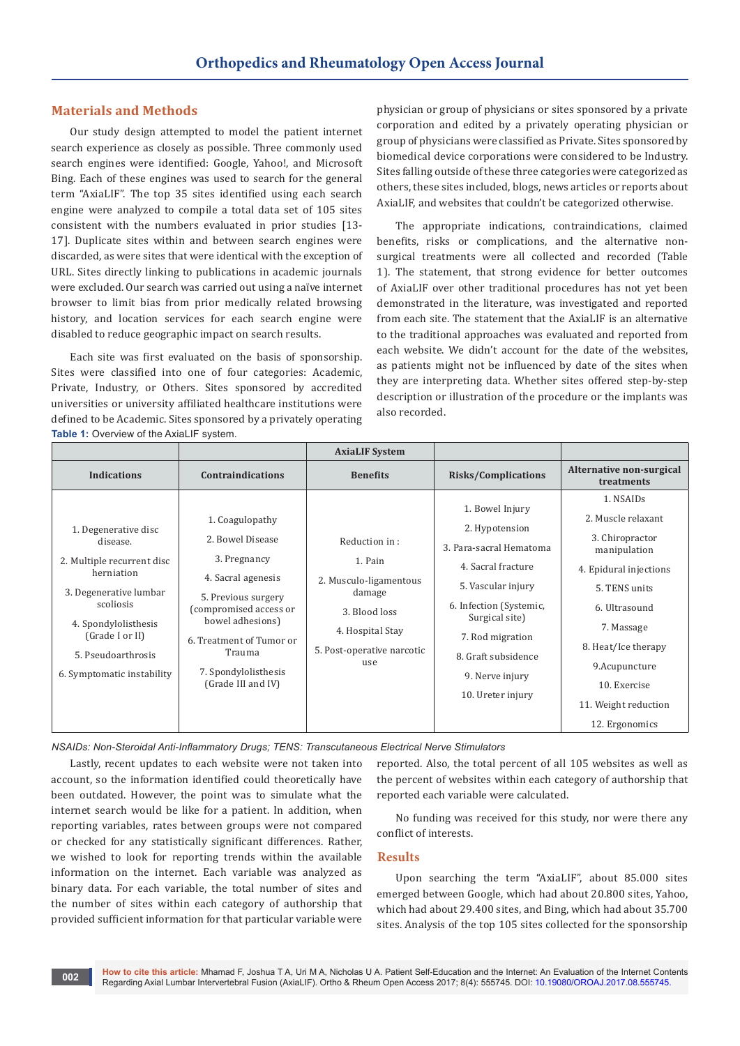#### **Materials and Methods**

Our study design attempted to model the patient internet search experience as closely as possible. Three commonly used search engines were identified: Google, Yahoo!, and Microsoft Bing. Each of these engines was used to search for the general term "AxiaLIF". The top 35 sites identified using each search engine were analyzed to compile a total data set of 105 sites consistent with the numbers evaluated in prior studies [13- 17]. Duplicate sites within and between search engines were discarded, as were sites that were identical with the exception of URL. Sites directly linking to publications in academic journals were excluded. Our search was carried out using a naïve internet browser to limit bias from prior medically related browsing history, and location services for each search engine were disabled to reduce geographic impact on search results.

Each site was first evaluated on the basis of sponsorship. Sites were classified into one of four categories: Academic, Private, Industry, or Others. Sites sponsored by accredited universities or university affiliated healthcare institutions were defined to be Academic. Sites sponsored by a privately operating **Table 1:** Overview of the AxiaLIF system.

physician or group of physicians or sites sponsored by a private corporation and edited by a privately operating physician or group of physicians were classified as Private. Sites sponsored by biomedical device corporations were considered to be Industry. Sites falling outside of these three categories were categorized as others, these sites included, blogs, news articles or reports about AxiaLIF, and websites that couldn't be categorized otherwise.

The appropriate indications, contraindications, claimed benefits, risks or complications, and the alternative nonsurgical treatments were all collected and recorded (Table 1). The statement, that strong evidence for better outcomes of AxiaLIF over other traditional procedures has not yet been demonstrated in the literature, was investigated and reported from each site. The statement that the AxiaLIF is an alternative to the traditional approaches was evaluated and reported from each website. We didn't account for the date of the websites, as patients might not be influenced by date of the sites when they are interpreting data. Whether sites offered step-by-step description or illustration of the procedure or the implants was also recorded.

|                                                                                                                                                                                                                    |                                                                                                                                                                                                                                    | <b>AxiaLIF System</b>                                                                                                                  |                                                                                                                                                                                                                                          |                                                                                                                                                                                                                                                |
|--------------------------------------------------------------------------------------------------------------------------------------------------------------------------------------------------------------------|------------------------------------------------------------------------------------------------------------------------------------------------------------------------------------------------------------------------------------|----------------------------------------------------------------------------------------------------------------------------------------|------------------------------------------------------------------------------------------------------------------------------------------------------------------------------------------------------------------------------------------|------------------------------------------------------------------------------------------------------------------------------------------------------------------------------------------------------------------------------------------------|
| <b>Indications</b>                                                                                                                                                                                                 | <b>Contraindications</b>                                                                                                                                                                                                           | <b>Benefits</b>                                                                                                                        | <b>Risks/Complications</b>                                                                                                                                                                                                               | Alternative non-surgical<br>treatments                                                                                                                                                                                                         |
| 1. Degenerative disc<br>disease.<br>2. Multiple recurrent disc<br>herniation<br>3. Degenerative lumbar<br>scoliosis<br>4. Spondylolisthesis<br>(Grade I or II)<br>5. Pseudoarthrosis<br>6. Symptomatic instability | 1. Coagulopathy<br>2. Bowel Disease<br>3. Pregnancy<br>4. Sacral agenesis<br>5. Previous surgery<br>(compromised access or<br>bowel adhesions)<br>6. Treatment of Tumor or<br>Trauma<br>7. Spondylolisthesis<br>(Grade III and IV) | Reduction in:<br>1. Pain<br>2. Musculo-ligamentous<br>damage<br>3. Blood loss<br>4. Hospital Stay<br>5. Post-operative narcotic<br>use | 1. Bowel Injury<br>2. Hypotension<br>3. Para-sacral Hematoma<br>4. Sacral fracture<br>5. Vascular injury<br>6. Infection (Systemic,<br>Surgical site)<br>7. Rod migration<br>8. Graft subsidence<br>9. Nerve injury<br>10. Ureter injury | 1. NSAIDs<br>2. Muscle relaxant<br>3. Chiropractor<br>manipulation<br>4. Epidural injections<br>5. TENS units<br>6. Ultrasound<br>7. Massage<br>8. Heat/Ice therapy<br>9.Acupuncture<br>10. Exercise<br>11. Weight reduction<br>12. Ergonomics |

*NSAIDs: Non-Steroidal Anti-Inflammatory Drugs; TENS: Transcutaneous Electrical Nerve Stimulators*

Lastly, recent updates to each website were not taken into account, so the information identified could theoretically have been outdated. However, the point was to simulate what the internet search would be like for a patient. In addition, when reporting variables, rates between groups were not compared or checked for any statistically significant differences. Rather, we wished to look for reporting trends within the available information on the internet. Each variable was analyzed as binary data. For each variable, the total number of sites and the number of sites within each category of authorship that provided sufficient information for that particular variable were reported. Also, the total percent of all 105 websites as well as the percent of websites within each category of authorship that reported each variable were calculated.

No funding was received for this study, nor were there any conflict of interests.

#### **Results**

Upon searching the term "AxiaLIF", about 85.000 sites emerged between Google, which had about 20.800 sites, Yahoo, which had about 29.400 sites, and Bing, which had about 35.700 sites. Analysis of the top 105 sites collected for the sponsorship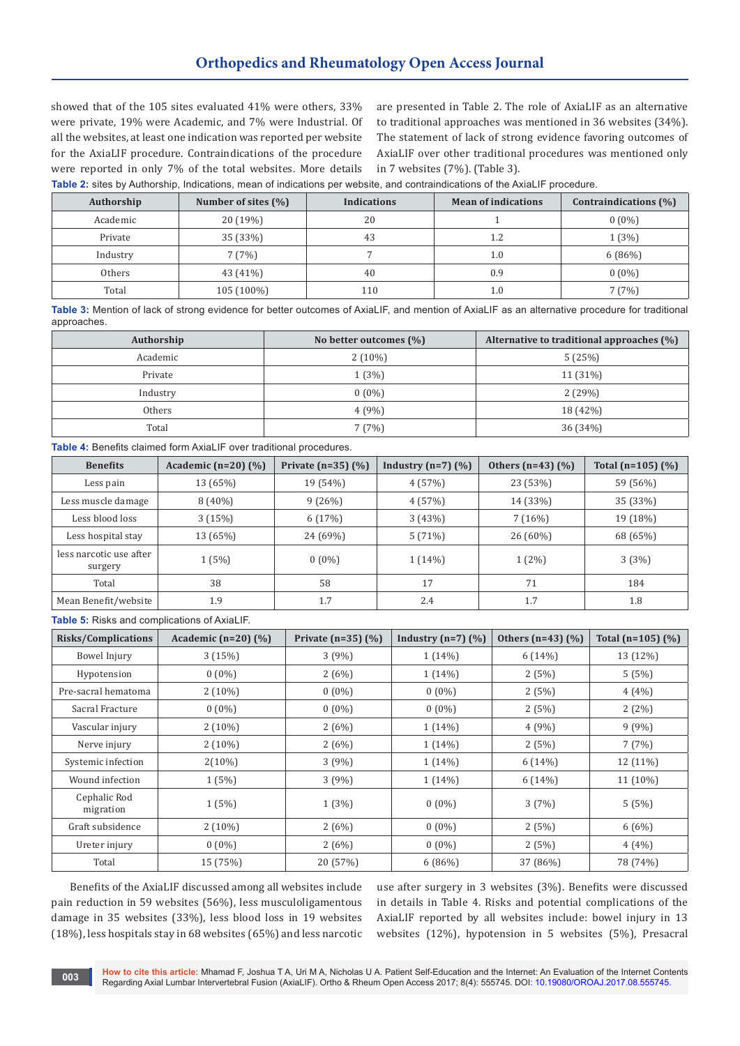showed that of the 105 sites evaluated 41% were others, 33% were private, 19% were Academic, and 7% were Industrial. Of all the websites, at least one indication was reported per website for the AxiaLIF procedure. Contraindications of the procedure were reported in only 7% of the total websites. More details

are presented in Table 2. The role of AxiaLIF as an alternative to traditional approaches was mentioned in 36 websites (34%). The statement of lack of strong evidence favoring outcomes of AxiaLIF over other traditional procedures was mentioned only in 7 websites (7%). (Table 3).

**Table 2:** sites by Authorship, Indications, mean of indications per website, and contraindications of the AxiaLIF procedure.

| Authorship | Number of sites $(\%)$ | <b>Indications</b> | <b>Mean of indications</b> | Contraindications (%) |
|------------|------------------------|--------------------|----------------------------|-----------------------|
| Academic   | 20(19%)                | 20                 |                            | $0(0\%)$              |
| Private    | 35 (33%)               | 43                 | 1.2                        | 1(3%)                 |
| Industry   | 7(7%)                  |                    | $1.0\,$                    | 6(86%)                |
| Others     | 43 (41%)               | 40                 | 0.9                        | $0(0\%)$              |
| Total      | $105(100\%)$           | 110                | $1.0\,$                    | (7%)                  |

**Table 3:** Mention of lack of strong evidence for better outcomes of AxiaLIF, and mention of AxiaLIF as an alternative procedure for traditional approaches.

| Authorship | No better outcomes $(\% )$ | Alternative to traditional approaches (%) |
|------------|----------------------------|-------------------------------------------|
| Academic   | $2(10\%)$                  | 5(25%)                                    |
| Private    | 1(3%)                      | 11 (31%)                                  |
| Industry   | $0(0\%)$                   | 2(29%)                                    |
| Others     | 4(9%)                      | 18 (42%)                                  |
| Total      | 7(7%)                      | 36(34%)                                   |

**Table 4:** Benefits claimed form AxiaLIF over traditional procedures.

| <b>Benefits</b>                    | Academic $(n=20)$ $(\%)$ | Private $(n=35)$ $(\%)$ | Industry $(n=7)$ $(\%)$ | Others $(n=43)$ $(\% )$ | Total (n=105) $(\% )$ |
|------------------------------------|--------------------------|-------------------------|-------------------------|-------------------------|-----------------------|
| Less pain                          | 13 (65%)                 | 19 (54%)                | 4(57%)                  | 23 (53%)                | 59 (56%)              |
| Less muscle damage                 | $8(40\%)$                | 9(26%)                  | 4(57%)                  | 14 (33%)                | 35 (33%)              |
| Less blood loss                    | 3(15%)                   | 6(17%)                  | 3(43%)                  | 7(16%)                  | 19 (18%)              |
| Less hospital stay                 | 13 (65%)                 | 24 (69%)                | 5(71%)                  | $26(60\%)$              | 68 (65%)              |
| less narcotic use after<br>surgery | 1(5%)                    | $0(0\%)$                | 1(14%)                  | $1(2\%)$                | 3(3%)                 |
| Total                              | 38                       | 58                      | 17                      | 71                      | 184                   |
| Mean Benefit/website               | 1.9                      | 1.7                     | 2.4                     | 1.7                     | 1.8                   |

#### **Table 5:** Risks and complications of AxiaLIF.

| <b>Risks/Complications</b> | Academic ( $n=20$ ) (%) | Private $(n=35)$ $(\% )$ | Industry $(n=7)$ $(\%)$ | Others $(n=43)$ $(\% )$ | Total ( $n=105$ ) (%) |
|----------------------------|-------------------------|--------------------------|-------------------------|-------------------------|-----------------------|
| Bowel Injury               | 3(15%)                  | 3(9%)                    | $1(14\%)$               | 6(14%)                  | 13 (12%)              |
| Hypotension                | $0(0\%)$                | 2(6%)                    | $1(14\%)$               | 2(5%)                   | 5(5%)                 |
| Pre-sacral hematoma        | $2(10\%)$               | $0(0\%)$                 | $0(0\%)$                | 2(5%)                   | $4(4\%)$              |
| Sacral Fracture            | $0(0\%)$                | $0(0\%)$                 | $0(0\%)$                | 2(5%)                   | 2(2%)                 |
| Vascular injury            | $2(10\%)$               | 2(6%)                    | $1(14\%)$               | 4(9%)                   | 9(9%)                 |
| Nerve injury               | $2(10\%)$               | 2(6%)                    | $1(14\%)$               | 2(5%)                   | 7(7%)                 |
| Systemic infection         | $2(10\%)$               | 3(9%)                    | $1(14\%)$               | 6(14%)                  | 12 (11%)              |
| Wound infection            | 1(5%)                   | 3(9%)                    | $1(14\%)$               | 6(14%)                  | $11(10\%)$            |
| Cephalic Rod<br>migration  | 1(5%)                   | 1(3%)                    | $0(0\%)$                | 3(7%)                   | 5(5%)                 |
| Graft subsidence           | $2(10\%)$               | 2(6%)                    | $0(0\%)$                | 2(5%)                   | 6(6%)                 |
| Ureter injury              | $0(0\%)$                | 2(6%)                    | $0(0\%)$                | 2(5%)                   | $4(4\%)$              |
| Total                      | 15 (75%)                | 20 (57%)                 | 6(86%)                  | 37 (86%)                | 78 (74%)              |

Benefits of the AxiaLIF discussed among all websites include pain reduction in 59 websites (56%), less musculoligamentous damage in 35 websites (33%), less blood loss in 19 websites (18%), less hospitals stay in 68 websites (65%) and less narcotic

use after surgery in 3 websites (3%). Benefits were discussed in details in Table 4. Risks and potential complications of the AxiaLIF reported by all websites include: bowel injury in 13 websites (12%), hypotension in 5 websites (5%), Presacral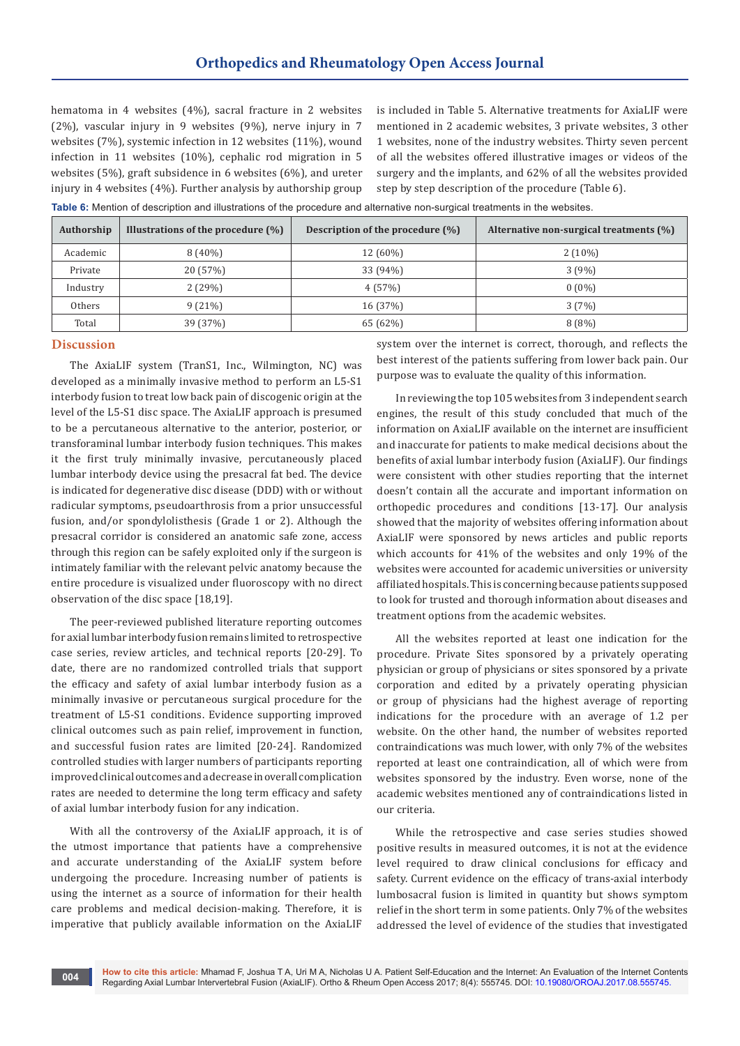hematoma in 4 websites (4%), sacral fracture in 2 websites (2%), vascular injury in 9 websites (9%), nerve injury in 7 websites (7%), systemic infection in 12 websites (11%), wound infection in 11 websites (10%), cephalic rod migration in 5 websites (5%), graft subsidence in 6 websites (6%), and ureter injury in 4 websites (4%). Further analysis by authorship group

is included in Table 5. Alternative treatments for AxiaLIF were mentioned in 2 academic websites, 3 private websites, 3 other 1 websites, none of the industry websites. Thirty seven percent of all the websites offered illustrative images or videos of the surgery and the implants, and 62% of all the websites provided step by step description of the procedure (Table 6).

**Table 6:** Mention of description and illustrations of the procedure and alternative non-surgical treatments in the websites.

| Authorship | Illustrations of the procedure $(\%)$ | Description of the procedure $(\%)$ | Alternative non-surgical treatments $(\%)$ |
|------------|---------------------------------------|-------------------------------------|--------------------------------------------|
| Academic   | $8(40\%)$                             | $12(60\%)$                          | $2(10\%)$                                  |
| Private    | 20 (57%)                              | 33 (94%)                            | 3(9%)                                      |
| Industry   | 2(29%)                                | 4(57%)                              | $0(0\%)$                                   |
| Others     | 9(21%)                                | 16 (37%)                            | 3(7%)                                      |
| Total      | 39 (37%)                              | 65 (62%)                            | $8(8\%)$                                   |

### **Discussion**

The AxiaLIF system (TranS1, Inc., Wilmington, NC) was developed as a minimally invasive method to perform an L5-S1 interbody fusion to treat low back pain of discogenic origin at the level of the L5-S1 disc space. The AxiaLIF approach is presumed to be a percutaneous alternative to the anterior, posterior, or transforaminal lumbar interbody fusion techniques. This makes it the first truly minimally invasive, percutaneously placed lumbar interbody device using the presacral fat bed. The device is indicated for degenerative disc disease (DDD) with or without radicular symptoms, pseudoarthrosis from a prior unsuccessful fusion, and/or spondylolisthesis (Grade 1 or 2). Although the presacral corridor is considered an anatomic safe zone, access through this region can be safely exploited only if the surgeon is intimately familiar with the relevant pelvic anatomy because the entire procedure is visualized under fluoroscopy with no direct observation of the disc space [18,19].

The peer-reviewed published literature reporting outcomes for axial lumbar interbody fusion remains limited to retrospective case series, review articles, and technical reports [20-29]. To date, there are no randomized controlled trials that support the efficacy and safety of axial lumbar interbody fusion as a minimally invasive or percutaneous surgical procedure for the treatment of L5-S1 conditions. Evidence supporting improved clinical outcomes such as pain relief, improvement in function, and successful fusion rates are limited [20-24]. Randomized controlled studies with larger numbers of participants reporting improved clinical outcomes and a decrease in overall complication rates are needed to determine the long term efficacy and safety of axial lumbar interbody fusion for any indication.

With all the controversy of the AxiaLIF approach, it is of the utmost importance that patients have a comprehensive and accurate understanding of the AxiaLIF system before undergoing the procedure. Increasing number of patients is using the internet as a source of information for their health care problems and medical decision-making. Therefore, it is imperative that publicly available information on the AxiaLIF

system over the internet is correct, thorough, and reflects the best interest of the patients suffering from lower back pain. Our purpose was to evaluate the quality of this information.

In reviewing the top 105 websites from 3 independent search engines, the result of this study concluded that much of the information on AxiaLIF available on the internet are insufficient and inaccurate for patients to make medical decisions about the benefits of axial lumbar interbody fusion (AxiaLIF). Our findings were consistent with other studies reporting that the internet doesn't contain all the accurate and important information on orthopedic procedures and conditions [13-17]. Our analysis showed that the majority of websites offering information about AxiaLIF were sponsored by news articles and public reports which accounts for 41% of the websites and only 19% of the websites were accounted for academic universities or university affiliated hospitals. This is concerning because patients supposed to look for trusted and thorough information about diseases and treatment options from the academic websites.

All the websites reported at least one indication for the procedure. Private Sites sponsored by a privately operating physician or group of physicians or sites sponsored by a private corporation and edited by a privately operating physician or group of physicians had the highest average of reporting indications for the procedure with an average of 1.2 per website. On the other hand, the number of websites reported contraindications was much lower, with only 7% of the websites reported at least one contraindication, all of which were from websites sponsored by the industry. Even worse, none of the academic websites mentioned any of contraindications listed in our criteria.

While the retrospective and case series studies showed positive results in measured outcomes, it is not at the evidence level required to draw clinical conclusions for efficacy and safety. Current evidence on the efficacy of trans-axial interbody lumbosacral fusion is limited in quantity but shows symptom relief in the short term in some patients. Only 7% of the websites addressed the level of evidence of the studies that investigated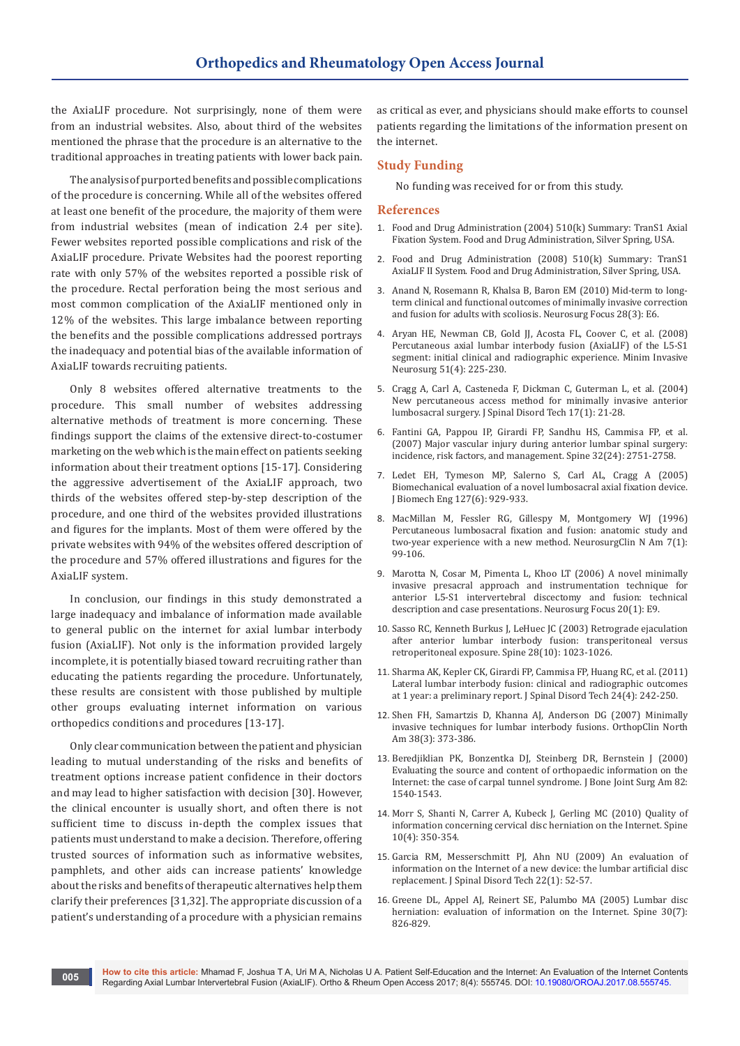the AxiaLIF procedure. Not surprisingly, none of them were from an industrial websites. Also, about third of the websites mentioned the phrase that the procedure is an alternative to the traditional approaches in treating patients with lower back pain.

The analysis of purported benefits and possible complications of the procedure is concerning. While all of the websites offered at least one benefit of the procedure, the majority of them were from industrial websites (mean of indication 2.4 per site). Fewer websites reported possible complications and risk of the AxiaLIF procedure. Private Websites had the poorest reporting rate with only 57% of the websites reported a possible risk of the procedure. Rectal perforation being the most serious and most common complication of the AxiaLIF mentioned only in 12% of the websites. This large imbalance between reporting the benefits and the possible complications addressed portrays the inadequacy and potential bias of the available information of AxiaLIF towards recruiting patients.

Only 8 websites offered alternative treatments to the procedure. This small number of websites addressing alternative methods of treatment is more concerning. These findings support the claims of the extensive direct-to-costumer marketing on the web which is the main effect on patients seeking information about their treatment options [15-17]. Considering the aggressive advertisement of the AxiaLIF approach, two thirds of the websites offered step-by-step description of the procedure, and one third of the websites provided illustrations and figures for the implants. Most of them were offered by the private websites with 94% of the websites offered description of the procedure and 57% offered illustrations and figures for the AxiaLIF system.

In conclusion, our findings in this study demonstrated a large inadequacy and imbalance of information made available to general public on the internet for axial lumbar interbody fusion (AxiaLIF). Not only is the information provided largely incomplete, it is potentially biased toward recruiting rather than educating the patients regarding the procedure. Unfortunately, these results are consistent with those published by multiple other groups evaluating internet information on various orthopedics conditions and procedures [13-17].

Only clear communication between the patient and physician leading to mutual understanding of the risks and benefits of treatment options increase patient confidence in their doctors and may lead to higher satisfaction with decision [30]. However, the clinical encounter is usually short, and often there is not sufficient time to discuss in-depth the complex issues that patients must understand to make a decision. Therefore, offering trusted sources of information such as informative websites, pamphlets, and other aids can increase patients' knowledge about the risks and benefits of therapeutic alternatives help them clarify their preferences [31,32]. The appropriate discussion of a patient's understanding of a procedure with a physician remains

as critical as ever, and physicians should make efforts to counsel patients regarding the limitations of the information present on the internet.

# **Study Funding**

No funding was received for or from this study.

#### **References**

- 1. Food and Drug Administration (2004) 510(k) Summary: TranS1 Axial Fixation System. Food and Drug Administration, Silver Spring, USA.
- 2. Food and Drug Administration (2008) 510(k) Summary: TranS1 AxiaLIF II System. Food and Drug Administration, Silver Spring, USA.
- 3. [Anand N, Rosemann R, Khalsa B, Baron EM \(2010\) Mid-term to long](https://www.ncbi.nlm.nih.gov/pubmed/20192666)[term clinical and functional outcomes of minimally invasive correction](https://www.ncbi.nlm.nih.gov/pubmed/20192666)  [and fusion for adults with scoliosis. Neurosurg Focus 28\(3\): E6.](https://www.ncbi.nlm.nih.gov/pubmed/20192666)
- 4. [Aryan HE, Newman CB, Gold JJ, Acosta FL, Coover C, et al. \(2008\)](https://www.ncbi.nlm.nih.gov/pubmed/18683115)  [Percutaneous axial lumbar interbody fusion \(AxiaLIF\) of the L5-S1](https://www.ncbi.nlm.nih.gov/pubmed/18683115)  [segment: initial clinical and radiographic experience. Minim Invasive](https://www.ncbi.nlm.nih.gov/pubmed/18683115)  [Neurosurg 51\(4\): 225-230.](https://www.ncbi.nlm.nih.gov/pubmed/18683115)
- 5. [Cragg A, Carl A, Casteneda F, Dickman C, Guterman L, et al. \(2004\)](https://www.ncbi.nlm.nih.gov/pubmed/14734972)  [New percutaneous access method for minimally invasive anterior](https://www.ncbi.nlm.nih.gov/pubmed/14734972)  [lumbosacral surgery. J Spinal Disord Tech 17\(1\): 21-28.](https://www.ncbi.nlm.nih.gov/pubmed/14734972)
- 6. [Fantini GA, Pappou IP, Girardi FP, Sandhu HS, Cammisa FP, et al.](https://www.ncbi.nlm.nih.gov/pubmed/18007256)  [\(2007\) Major vascular injury during anterior lumbar spinal surgery:](https://www.ncbi.nlm.nih.gov/pubmed/18007256)  [incidence, risk factors, and management. Spine 32\(24\): 2751-2758.](https://www.ncbi.nlm.nih.gov/pubmed/18007256)
- 7. [Ledet EH, Tymeson MP, Salerno S, Carl AL, Cragg A \(2005\)](https://www.ncbi.nlm.nih.gov/pubmed/16438229)  [Biomechanical evaluation of a novel lumbosacral axial fixation device.](https://www.ncbi.nlm.nih.gov/pubmed/16438229)  [J Biomech Eng 127\(6\): 929-933.](https://www.ncbi.nlm.nih.gov/pubmed/16438229)
- 8. [MacMillan M, Fessler RG, Gillespy M, Montgomery WJ \(1996\)](https://www.ncbi.nlm.nih.gov/pubmed/8835150)  [Percutaneous lumbosacral fixation and fusion: anatomic study and](https://www.ncbi.nlm.nih.gov/pubmed/8835150)  [two-year experience with a new method. NeurosurgClin N Am 7\(1\):](https://www.ncbi.nlm.nih.gov/pubmed/8835150)  [99-106.](https://www.ncbi.nlm.nih.gov/pubmed/8835150)
- 9. [Marotta N, Cosar M, Pimenta L, Khoo LT \(2006\) A novel minimally](http://thejns.org/doi/pdfplus/10.3171/foc.2006.20.1.10)  [invasive presacral approach and instrumentation technique for](http://thejns.org/doi/pdfplus/10.3171/foc.2006.20.1.10)  [anterior L5-S1 intervertebral discectomy and fusion: technical](http://thejns.org/doi/pdfplus/10.3171/foc.2006.20.1.10)  [description and case presentations. Neurosurg Focus 20\(1\): E9.](http://thejns.org/doi/pdfplus/10.3171/foc.2006.20.1.10)
- 10. [Sasso RC, Kenneth Burkus J, LeHuec JC \(2003\) Retrograde ejaculation](https://www.ncbi.nlm.nih.gov/pubmed/12768143)  [after anterior lumbar interbody fusion: transperitoneal versus](https://www.ncbi.nlm.nih.gov/pubmed/12768143)  [retroperitoneal exposure. Spine 28\(10\): 1023-1026.](https://www.ncbi.nlm.nih.gov/pubmed/12768143)
- 11. [Sharma AK, Kepler CK, Girardi FP, Cammisa FP, Huang RC, et al. \(2011\)](https://www.ncbi.nlm.nih.gov/pubmed/20844451)  [Lateral lumbar interbody fusion: clinical and radiographic outcomes](https://www.ncbi.nlm.nih.gov/pubmed/20844451)  [at 1 year: a preliminary report. J Spinal Disord Tech 24\(4\): 242-250.](https://www.ncbi.nlm.nih.gov/pubmed/20844451)
- 12. [Shen FH, Samartzis D, Khanna AJ, Anderson DG \(2007\) Minimally](https://www.ncbi.nlm.nih.gov/pubmed/17629985)  [invasive techniques for lumbar interbody fusions. OrthopClin North](https://www.ncbi.nlm.nih.gov/pubmed/17629985)  [Am 38\(3\): 373-386.](https://www.ncbi.nlm.nih.gov/pubmed/17629985)
- 13. [Beredjiklian PK, Bonzentka DJ, Steinberg DR, Bernstein J \(2000\)](https://www.ncbi.nlm.nih.gov/pubmed/11097441)  [Evaluating the source and content of orthopaedic information on the](https://www.ncbi.nlm.nih.gov/pubmed/11097441)  [Internet: the case of carpal tunnel syndrome. J Bone Joint Surg Am](https://www.ncbi.nlm.nih.gov/pubmed/11097441) 82: [1540-1543.](https://www.ncbi.nlm.nih.gov/pubmed/11097441)
- 14. [Morr S, Shanti N, Carrer A, Kubeck J, Gerling MC \(2010\) Quality of](https://www.ncbi.nlm.nih.gov/pubmed/20362253)  [information concerning cervical disc herniation on the Internet. Spine](https://www.ncbi.nlm.nih.gov/pubmed/20362253)  [10\(4\): 350-354.](https://www.ncbi.nlm.nih.gov/pubmed/20362253)
- 15. [Garcia RM, Messerschmitt PJ, Ahn NU \(2009\) An evaluation of](http://journals.lww.com/jspinaldisorders/Abstract/2009/02000/An_Evaluation_of_Information_on_the_Internet_of_a.10.aspx)  [information on the Internet of a new device: the lumbar artificial disc](http://journals.lww.com/jspinaldisorders/Abstract/2009/02000/An_Evaluation_of_Information_on_the_Internet_of_a.10.aspx)  [replacement. J Spinal Disord Tech 22\(1\): 52-57.](http://journals.lww.com/jspinaldisorders/Abstract/2009/02000/An_Evaluation_of_Information_on_the_Internet_of_a.10.aspx)
- 16. [Greene DL, Appel AJ, Reinert SE, Palumbo MA \(2005\) Lumbar disc](https://www.ncbi.nlm.nih.gov/pubmed/15803087)  herniation: evaluation of information on the Internet. Spine 30(7): [826-829.](https://www.ncbi.nlm.nih.gov/pubmed/15803087)